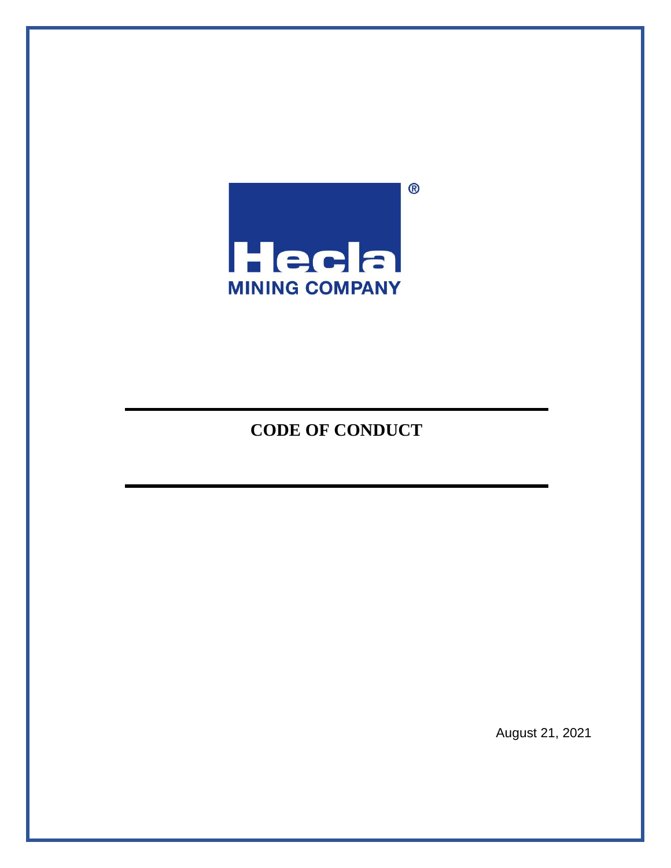

# **CODE OF CONDUCT**

August 21, 2021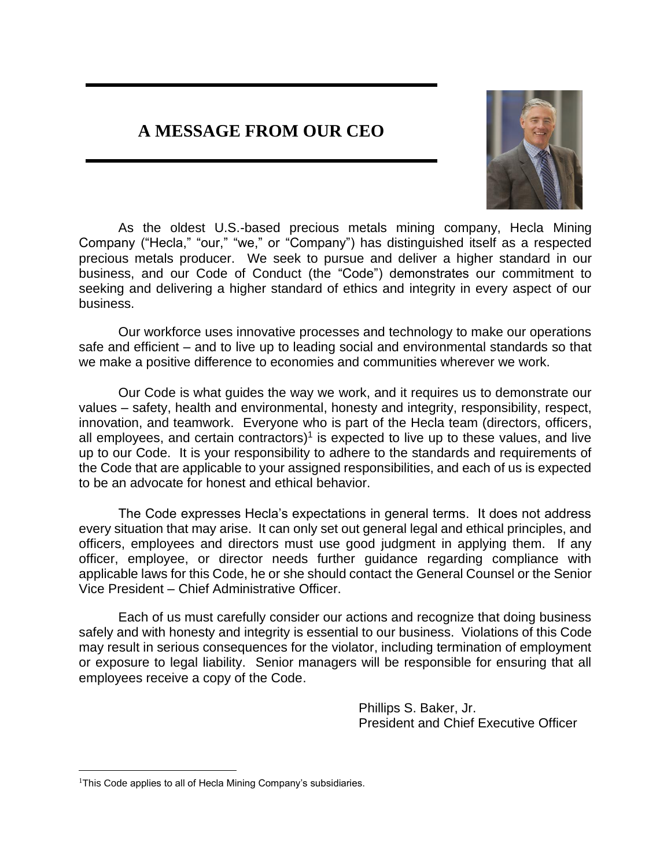# **A MESSAGE FROM OUR CEO**



As the oldest U.S.-based precious metals mining company, Hecla Mining Company ("Hecla," "our," "we," or "Company") has distinguished itself as a respected precious metals producer. We seek to pursue and deliver a higher standard in our business, and our Code of Conduct (the "Code") demonstrates our commitment to seeking and delivering a higher standard of ethics and integrity in every aspect of our business.

Our workforce uses innovative processes and technology to make our operations safe and efficient – and to live up to leading social and environmental standards so that we make a positive difference to economies and communities wherever we work.

Our Code is what guides the way we work, and it requires us to demonstrate our values – safety, health and environmental, honesty and integrity, responsibility, respect, innovation, and teamwork. Everyone who is part of the Hecla team (directors, officers, all employees, and certain contractors)<sup>1</sup> is expected to live up to these values, and live up to our Code. It is your responsibility to adhere to the standards and requirements of the Code that are applicable to your assigned responsibilities, and each of us is expected to be an advocate for honest and ethical behavior.

The Code expresses Hecla's expectations in general terms. It does not address every situation that may arise. It can only set out general legal and ethical principles, and officers, employees and directors must use good judgment in applying them. If any officer, employee, or director needs further guidance regarding compliance with applicable laws for this Code, he or she should contact the General Counsel or the Senior Vice President – Chief Administrative Officer.

Each of us must carefully consider our actions and recognize that doing business safely and with honesty and integrity is essential to our business. Violations of this Code may result in serious consequences for the violator, including termination of employment or exposure to legal liability. Senior managers will be responsible for ensuring that all employees receive a copy of the Code.

> Phillips S. Baker, Jr. President and Chief Executive Officer

<sup>&</sup>lt;sup>1</sup>This Code applies to all of Hecla Mining Company's subsidiaries.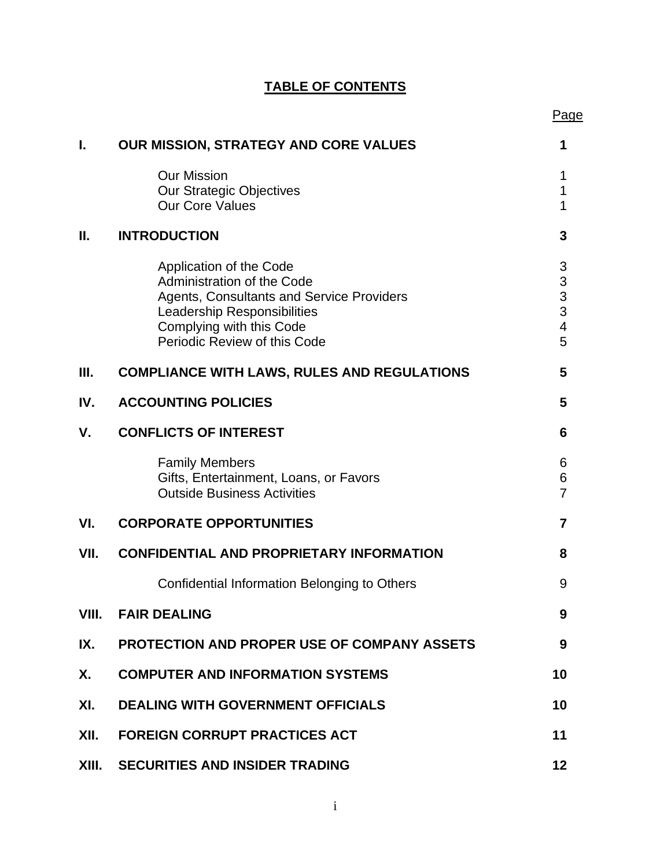|       |                                                                                                                                                                                                      | Page                                                                             |
|-------|------------------------------------------------------------------------------------------------------------------------------------------------------------------------------------------------------|----------------------------------------------------------------------------------|
| I.    | OUR MISSION, STRATEGY AND CORE VALUES                                                                                                                                                                | 1                                                                                |
|       | <b>Our Mission</b><br>Our Strategic Objectives<br><b>Our Core Values</b>                                                                                                                             | 1<br>1<br>1                                                                      |
| Ш.    | <b>INTRODUCTION</b>                                                                                                                                                                                  | 3                                                                                |
|       | Application of the Code<br>Administration of the Code<br>Agents, Consultants and Service Providers<br><b>Leadership Responsibilities</b><br>Complying with this Code<br>Periodic Review of this Code | 3<br>$\begin{array}{c} 3 \\ 3 \\ 3 \end{array}$<br>$\overline{\mathcal{A}}$<br>5 |
| Ш.    | <b>COMPLIANCE WITH LAWS, RULES AND REGULATIONS</b>                                                                                                                                                   | 5                                                                                |
| IV.   | <b>ACCOUNTING POLICIES</b>                                                                                                                                                                           | 5                                                                                |
| V.    | <b>CONFLICTS OF INTEREST</b>                                                                                                                                                                         | 6                                                                                |
|       | <b>Family Members</b><br>Gifts, Entertainment, Loans, or Favors<br><b>Outside Business Activities</b>                                                                                                | 6<br>6<br>$\overline{7}$                                                         |
| VI.   | <b>CORPORATE OPPORTUNITIES</b>                                                                                                                                                                       | $\overline{7}$                                                                   |
| VII.  | <b>CONFIDENTIAL AND PROPRIETARY INFORMATION</b>                                                                                                                                                      | 8                                                                                |
|       | Confidential Information Belonging to Others                                                                                                                                                         | 9                                                                                |
| VIII. | <b>FAIR DEALING</b>                                                                                                                                                                                  | 9                                                                                |
| IX.   | <b>PROTECTION AND PROPER USE OF COMPANY ASSETS</b>                                                                                                                                                   | 9                                                                                |
| X.    | <b>COMPUTER AND INFORMATION SYSTEMS</b>                                                                                                                                                              | 10                                                                               |
| XI.   | <b>DEALING WITH GOVERNMENT OFFICIALS</b>                                                                                                                                                             | 10                                                                               |
| XII.  | <b>FOREIGN CORRUPT PRACTICES ACT</b>                                                                                                                                                                 | 11                                                                               |
| XIII. | <b>SECURITIES AND INSIDER TRADING</b>                                                                                                                                                                | 12                                                                               |

# **TABLE OF CONTENTS**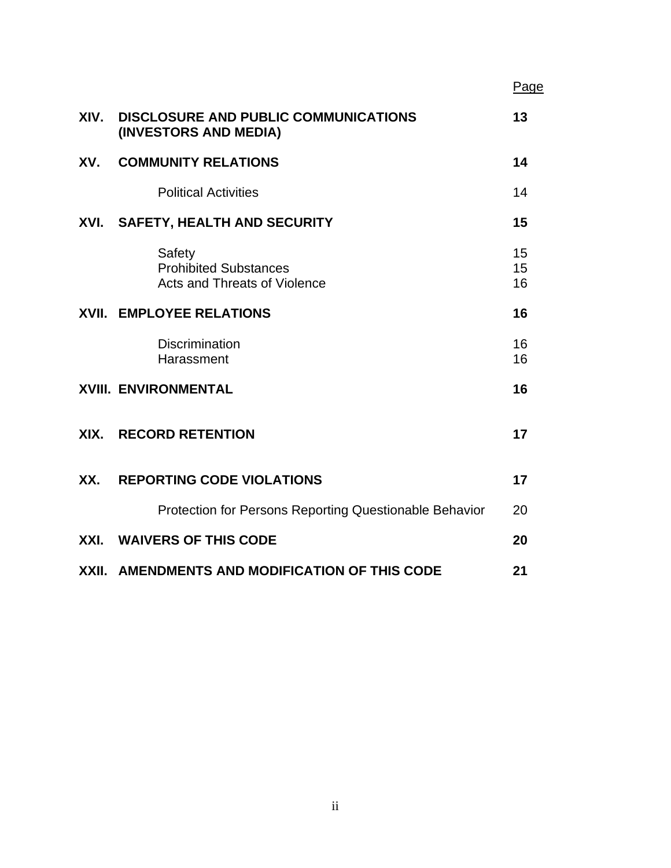|      |                                                                               | Page           |
|------|-------------------------------------------------------------------------------|----------------|
| XIV. | <b>DISCLOSURE AND PUBLIC COMMUNICATIONS</b><br>(INVESTORS AND MEDIA)          | 13             |
| XV.  | <b>COMMUNITY RELATIONS</b>                                                    | 14             |
|      | <b>Political Activities</b>                                                   | 14             |
|      | XVI. SAFETY, HEALTH AND SECURITY                                              | 15             |
|      | Safety<br><b>Prohibited Substances</b><br><b>Acts and Threats of Violence</b> | 15<br>15<br>16 |
|      | <b>XVII. EMPLOYEE RELATIONS</b>                                               | 16             |
|      | <b>Discrimination</b><br>Harassment                                           | 16<br>16       |
|      | <b>XVIII. ENVIRONMENTAL</b>                                                   | 16             |
| XIX. | <b>RECORD RETENTION</b>                                                       | 17             |
| XX.  | <b>REPORTING CODE VIOLATIONS</b>                                              | 17             |
|      | <b>Protection for Persons Reporting Questionable Behavior</b>                 | 20             |
| XXI. | <b>WAIVERS OF THIS CODE</b>                                                   | 20             |
|      | XXII. AMENDMENTS AND MODIFICATION OF THIS CODE                                | 21             |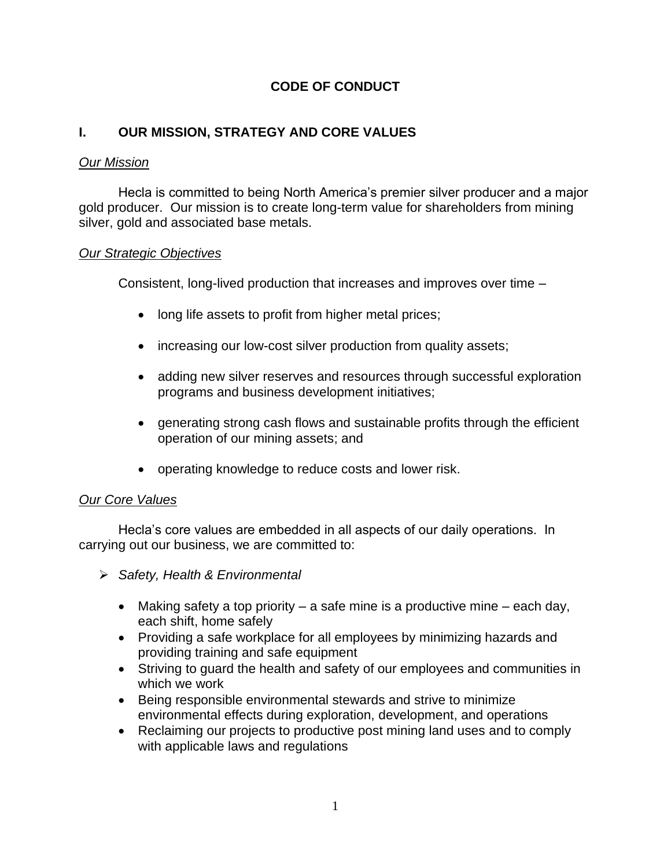# **CODE OF CONDUCT**

# **I. OUR MISSION, STRATEGY AND CORE VALUES**

### *Our Mission*

Hecla is committed to being North America's premier silver producer and a major gold producer. Our mission is to create long-term value for shareholders from mining silver, gold and associated base metals.

### *Our Strategic Objectives*

Consistent, long-lived production that increases and improves over time –

- long life assets to profit from higher metal prices;
- increasing our low-cost silver production from quality assets;
- adding new silver reserves and resources through successful exploration programs and business development initiatives;
- generating strong cash flows and sustainable profits through the efficient operation of our mining assets; and
- operating knowledge to reduce costs and lower risk.

### *Our Core Values*

Hecla's core values are embedded in all aspects of our daily operations. In carrying out our business, we are committed to:

- ➢ *Safety, Health & Environmental*
	- Making safety a top priority  $-$  a safe mine is a productive mine  $-$  each day, each shift, home safely
	- Providing a safe workplace for all employees by minimizing hazards and providing training and safe equipment
	- Striving to guard the health and safety of our employees and communities in which we work
	- Being responsible environmental stewards and strive to minimize environmental effects during exploration, development, and operations
	- Reclaiming our projects to productive post mining land uses and to comply with applicable laws and regulations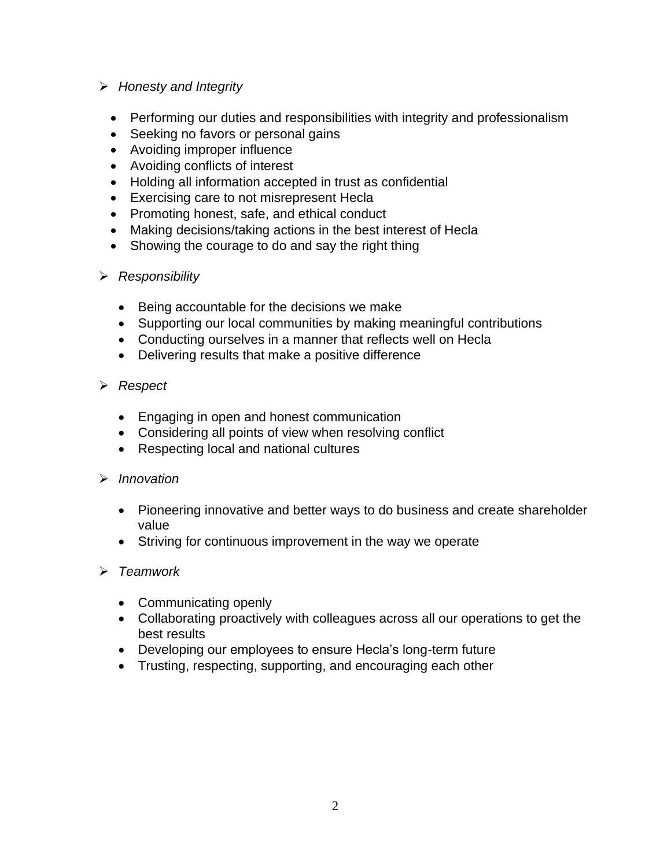## ➢ *Honesty and Integrity*

- Performing our duties and responsibilities with integrity and professionalism
- Seeking no favors or personal gains
- Avoiding improper influence
- Avoiding conflicts of interest
- Holding all information accepted in trust as confidential
- Exercising care to not misrepresent Hecla
- Promoting honest, safe, and ethical conduct
- Making decisions/taking actions in the best interest of Hecla
- Showing the courage to do and say the right thing

### ➢ *Responsibility*

- Being accountable for the decisions we make
- Supporting our local communities by making meaningful contributions
- Conducting ourselves in a manner that reflects well on Hecla
- Delivering results that make a positive difference

### ➢ *Respect*

- Engaging in open and honest communication
- Considering all points of view when resolving conflict
- Respecting local and national cultures

### ➢ *Innovation*

- Pioneering innovative and better ways to do business and create shareholder value
- Striving for continuous improvement in the way we operate

### ➢ *Teamwork*

- Communicating openly
- Collaborating proactively with colleagues across all our operations to get the best results
- Developing our employees to ensure Hecla's long-term future
- Trusting, respecting, supporting, and encouraging each other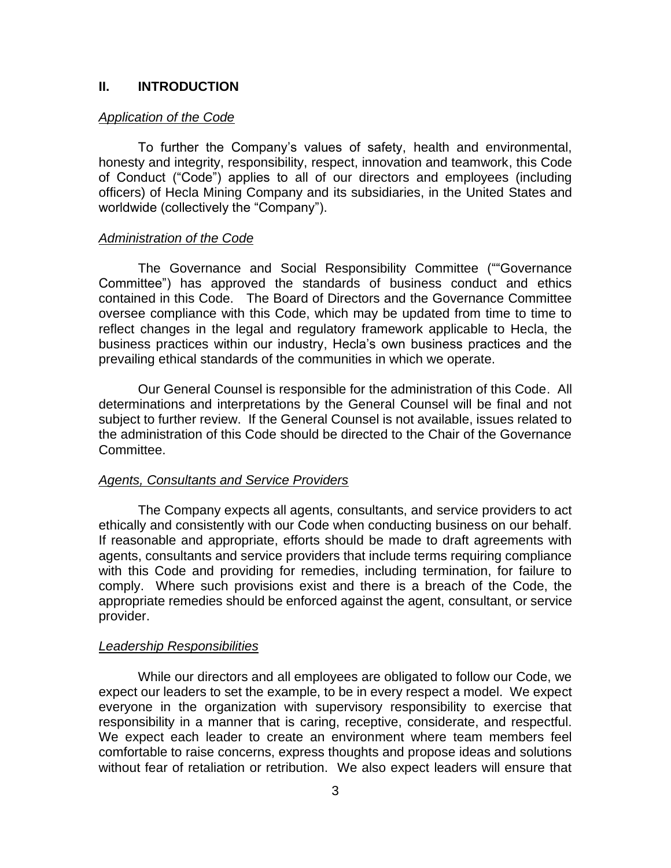#### **II. INTRODUCTION**

#### *Application of the Code*

To further the Company's values of safety, health and environmental, honesty and integrity, responsibility, respect, innovation and teamwork, this Code of Conduct ("Code") applies to all of our directors and employees (including officers) of Hecla Mining Company and its subsidiaries, in the United States and worldwide (collectively the "Company").

#### *Administration of the Code*

The Governance and Social Responsibility Committee (""Governance Committee") has approved the standards of business conduct and ethics contained in this Code. The Board of Directors and the Governance Committee oversee compliance with this Code, which may be updated from time to time to reflect changes in the legal and regulatory framework applicable to Hecla, the business practices within our industry, Hecla's own business practices and the prevailing ethical standards of the communities in which we operate.

Our General Counsel is responsible for the administration of this Code. All determinations and interpretations by the General Counsel will be final and not subject to further review. If the General Counsel is not available, issues related to the administration of this Code should be directed to the Chair of the Governance Committee.

#### *Agents, Consultants and Service Providers*

The Company expects all agents, consultants, and service providers to act ethically and consistently with our Code when conducting business on our behalf. If reasonable and appropriate, efforts should be made to draft agreements with agents, consultants and service providers that include terms requiring compliance with this Code and providing for remedies, including termination, for failure to comply. Where such provisions exist and there is a breach of the Code, the appropriate remedies should be enforced against the agent, consultant, or service provider.

#### *Leadership Responsibilities*

While our directors and all employees are obligated to follow our Code, we expect our leaders to set the example, to be in every respect a model. We expect everyone in the organization with supervisory responsibility to exercise that responsibility in a manner that is caring, receptive, considerate, and respectful. We expect each leader to create an environment where team members feel comfortable to raise concerns, express thoughts and propose ideas and solutions without fear of retaliation or retribution. We also expect leaders will ensure that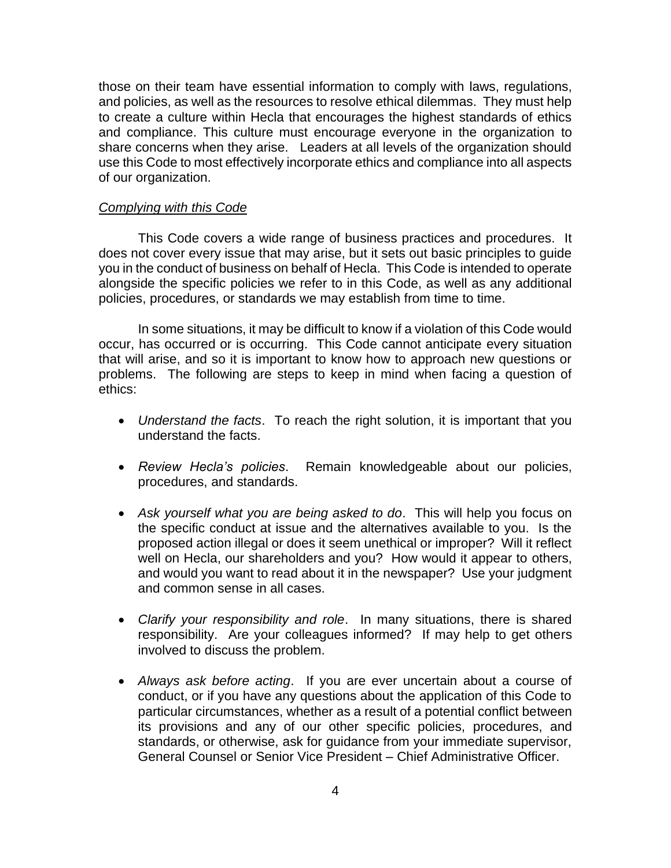those on their team have essential information to comply with laws, regulations, and policies, as well as the resources to resolve ethical dilemmas. They must help to create a culture within Hecla that encourages the highest standards of ethics and compliance. This culture must encourage everyone in the organization to share concerns when they arise. Leaders at all levels of the organization should use this Code to most effectively incorporate ethics and compliance into all aspects of our organization.

#### *Complying with this Code*

This Code covers a wide range of business practices and procedures. It does not cover every issue that may arise, but it sets out basic principles to guide you in the conduct of business on behalf of Hecla. This Code is intended to operate alongside the specific policies we refer to in this Code, as well as any additional policies, procedures, or standards we may establish from time to time.

In some situations, it may be difficult to know if a violation of this Code would occur, has occurred or is occurring. This Code cannot anticipate every situation that will arise, and so it is important to know how to approach new questions or problems. The following are steps to keep in mind when facing a question of ethics:

- *Understand the facts*. To reach the right solution, it is important that you understand the facts.
- *Review Hecla's policies*. Remain knowledgeable about our policies, procedures, and standards.
- *Ask yourself what you are being asked to do*. This will help you focus on the specific conduct at issue and the alternatives available to you. Is the proposed action illegal or does it seem unethical or improper? Will it reflect well on Hecla, our shareholders and you? How would it appear to others, and would you want to read about it in the newspaper? Use your judgment and common sense in all cases.
- *Clarify your responsibility and role*. In many situations, there is shared responsibility. Are your colleagues informed? If may help to get others involved to discuss the problem.
- *Always ask before acting*. If you are ever uncertain about a course of conduct, or if you have any questions about the application of this Code to particular circumstances, whether as a result of a potential conflict between its provisions and any of our other specific policies, procedures, and standards, or otherwise, ask for guidance from your immediate supervisor, General Counsel or Senior Vice President – Chief Administrative Officer.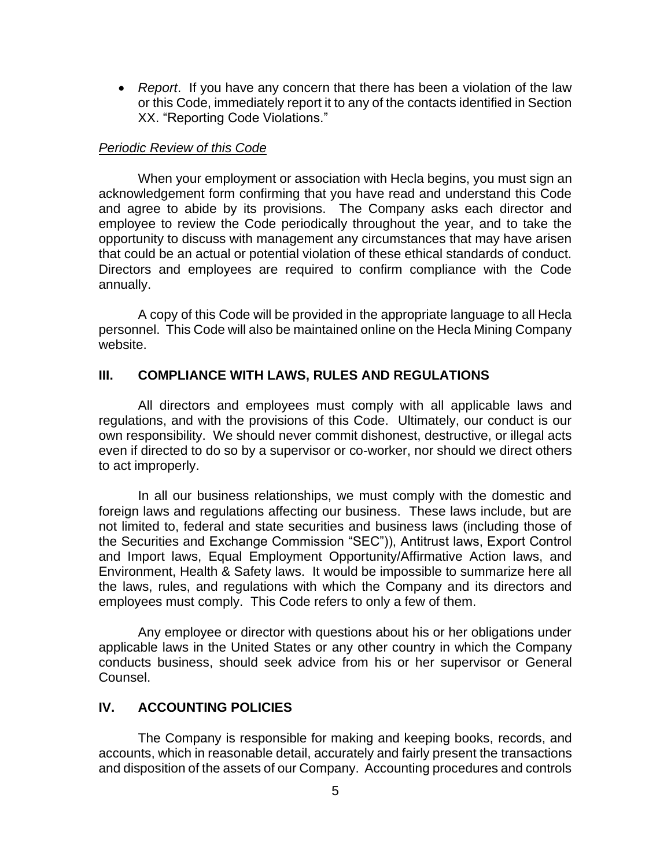• *Report*. If you have any concern that there has been a violation of the law or this Code, immediately report it to any of the contacts identified in Section XX. "Reporting Code Violations."

#### *Periodic Review of this Code*

When your employment or association with Hecla begins, you must sign an acknowledgement form confirming that you have read and understand this Code and agree to abide by its provisions. The Company asks each director and employee to review the Code periodically throughout the year, and to take the opportunity to discuss with management any circumstances that may have arisen that could be an actual or potential violation of these ethical standards of conduct. Directors and employees are required to confirm compliance with the Code annually.

A copy of this Code will be provided in the appropriate language to all Hecla personnel. This Code will also be maintained online on the Hecla Mining Company website.

#### **III. COMPLIANCE WITH LAWS, RULES AND REGULATIONS**

All directors and employees must comply with all applicable laws and regulations, and with the provisions of this Code. Ultimately, our conduct is our own responsibility. We should never commit dishonest, destructive, or illegal acts even if directed to do so by a supervisor or co-worker, nor should we direct others to act improperly.

In all our business relationships, we must comply with the domestic and foreign laws and regulations affecting our business. These laws include, but are not limited to, federal and state securities and business laws (including those of the Securities and Exchange Commission "SEC")), Antitrust laws, Export Control and Import laws, Equal Employment Opportunity/Affirmative Action laws, and Environment, Health & Safety laws. It would be impossible to summarize here all the laws, rules, and regulations with which the Company and its directors and employees must comply. This Code refers to only a few of them.

Any employee or director with questions about his or her obligations under applicable laws in the United States or any other country in which the Company conducts business, should seek advice from his or her supervisor or General Counsel.

### **IV. ACCOUNTING POLICIES**

The Company is responsible for making and keeping books, records, and accounts, which in reasonable detail, accurately and fairly present the transactions and disposition of the assets of our Company. Accounting procedures and controls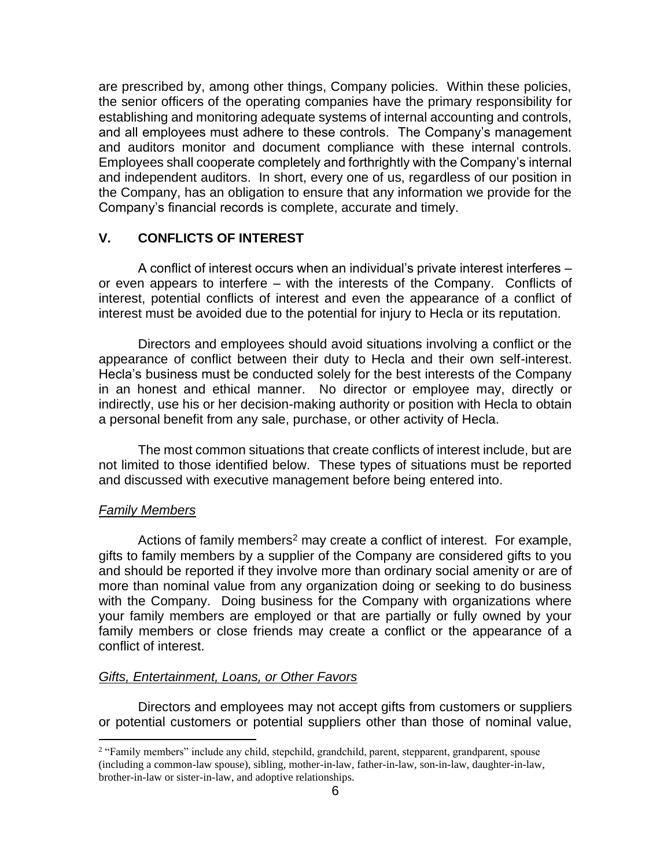are prescribed by, among other things, Company policies. Within these policies, the senior officers of the operating companies have the primary responsibility for establishing and monitoring adequate systems of internal accounting and controls, and all employees must adhere to these controls. The Company's management and auditors monitor and document compliance with these internal controls. Employees shall cooperate completely and forthrightly with the Company's internal and independent auditors. In short, every one of us, regardless of our position in the Company, has an obligation to ensure that any information we provide for the Company's financial records is complete, accurate and timely.

## **V. CONFLICTS OF INTEREST**

A conflict of interest occurs when an individual's private interest interferes – or even appears to interfere – with the interests of the Company. Conflicts of interest, potential conflicts of interest and even the appearance of a conflict of interest must be avoided due to the potential for injury to Hecla or its reputation.

Directors and employees should avoid situations involving a conflict or the appearance of conflict between their duty to Hecla and their own self-interest. Hecla's business must be conducted solely for the best interests of the Company in an honest and ethical manner. No director or employee may, directly or indirectly, use his or her decision-making authority or position with Hecla to obtain a personal benefit from any sale, purchase, or other activity of Hecla.

The most common situations that create conflicts of interest include, but are not limited to those identified below. These types of situations must be reported and discussed with executive management before being entered into.

#### *Family Members*

Actions of family members<sup>2</sup> may create a conflict of interest. For example, gifts to family members by a supplier of the Company are considered gifts to you and should be reported if they involve more than ordinary social amenity or are of more than nominal value from any organization doing or seeking to do business with the Company. Doing business for the Company with organizations where your family members are employed or that are partially or fully owned by your family members or close friends may create a conflict or the appearance of a conflict of interest.

#### *Gifts, Entertainment, Loans, or Other Favors*

Directors and employees may not accept gifts from customers or suppliers or potential customers or potential suppliers other than those of nominal value,

<sup>&</sup>lt;sup>2</sup> "Family members" include any child, stepchild, grandchild, parent, stepparent, grandparent, spouse (including a common-law spouse), sibling, mother-in-law, father-in-law, son-in-law, daughter-in-law, brother-in-law or sister-in-law, and adoptive relationships.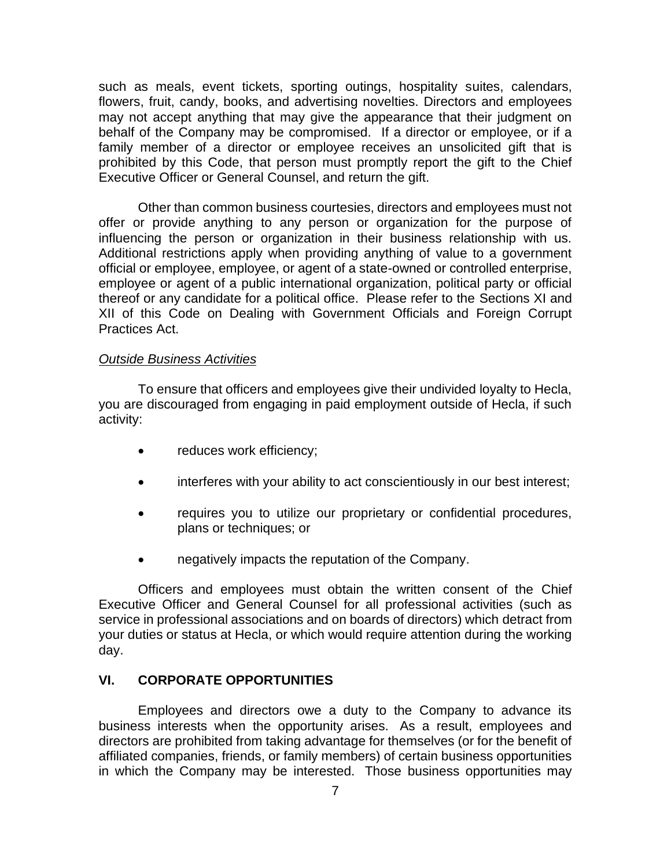such as meals, event tickets, sporting outings, hospitality suites, calendars, flowers, fruit, candy, books, and advertising novelties. Directors and employees may not accept anything that may give the appearance that their judgment on behalf of the Company may be compromised. If a director or employee, or if a family member of a director or employee receives an unsolicited gift that is prohibited by this Code, that person must promptly report the gift to the Chief Executive Officer or General Counsel, and return the gift.

Other than common business courtesies, directors and employees must not offer or provide anything to any person or organization for the purpose of influencing the person or organization in their business relationship with us. Additional restrictions apply when providing anything of value to a government official or employee, employee, or agent of a state-owned or controlled enterprise, employee or agent of a public international organization, political party or official thereof or any candidate for a political office. Please refer to the Sections XI and XII of this Code on Dealing with Government Officials and Foreign Corrupt Practices Act.

#### *Outside Business Activities*

To ensure that officers and employees give their undivided loyalty to Hecla, you are discouraged from engaging in paid employment outside of Hecla, if such activity:

- reduces work efficiency;
- interferes with your ability to act conscientiously in our best interest;
- requires you to utilize our proprietary or confidential procedures, plans or techniques; or
- negatively impacts the reputation of the Company.

Officers and employees must obtain the written consent of the Chief Executive Officer and General Counsel for all professional activities (such as service in professional associations and on boards of directors) which detract from your duties or status at Hecla, or which would require attention during the working day.

#### **VI. CORPORATE OPPORTUNITIES**

Employees and directors owe a duty to the Company to advance its business interests when the opportunity arises. As a result, employees and directors are prohibited from taking advantage for themselves (or for the benefit of affiliated companies, friends, or family members) of certain business opportunities in which the Company may be interested. Those business opportunities may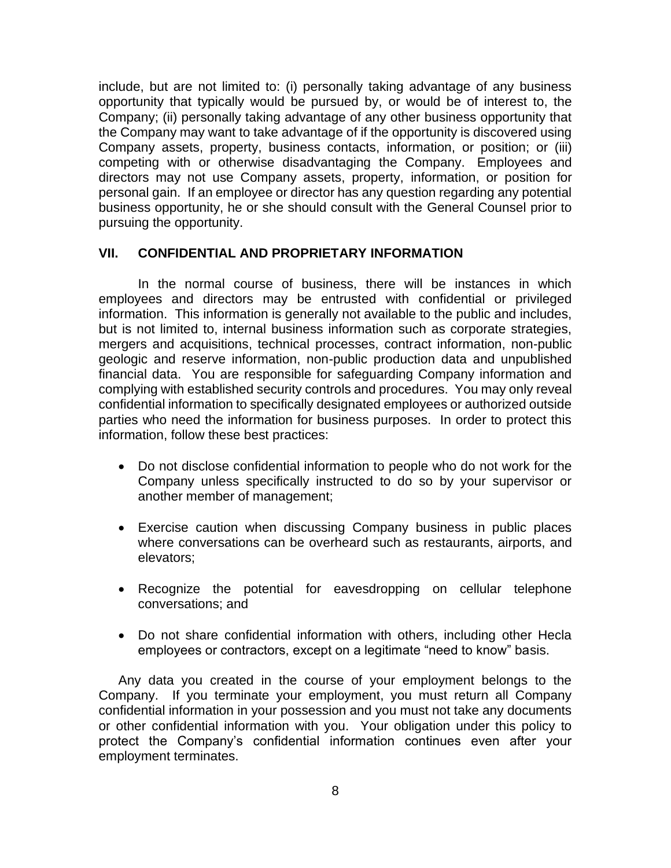include, but are not limited to: (i) personally taking advantage of any business opportunity that typically would be pursued by, or would be of interest to, the Company; (ii) personally taking advantage of any other business opportunity that the Company may want to take advantage of if the opportunity is discovered using Company assets, property, business contacts, information, or position; or (iii) competing with or otherwise disadvantaging the Company. Employees and directors may not use Company assets, property, information, or position for personal gain. If an employee or director has any question regarding any potential business opportunity, he or she should consult with the General Counsel prior to pursuing the opportunity.

### **VII. CONFIDENTIAL AND PROPRIETARY INFORMATION**

In the normal course of business, there will be instances in which employees and directors may be entrusted with confidential or privileged information. This information is generally not available to the public and includes, but is not limited to, internal business information such as corporate strategies, mergers and acquisitions, technical processes, contract information, non-public geologic and reserve information, non-public production data and unpublished financial data. You are responsible for safeguarding Company information and complying with established security controls and procedures. You may only reveal confidential information to specifically designated employees or authorized outside parties who need the information for business purposes. In order to protect this information, follow these best practices:

- Do not disclose confidential information to people who do not work for the Company unless specifically instructed to do so by your supervisor or another member of management;
- Exercise caution when discussing Company business in public places where conversations can be overheard such as restaurants, airports, and elevators;
- Recognize the potential for eavesdropping on cellular telephone conversations; and
- Do not share confidential information with others, including other Hecla employees or contractors, except on a legitimate "need to know" basis.

Any data you created in the course of your employment belongs to the Company. If you terminate your employment, you must return all Company confidential information in your possession and you must not take any documents or other confidential information with you. Your obligation under this policy to protect the Company's confidential information continues even after your employment terminates.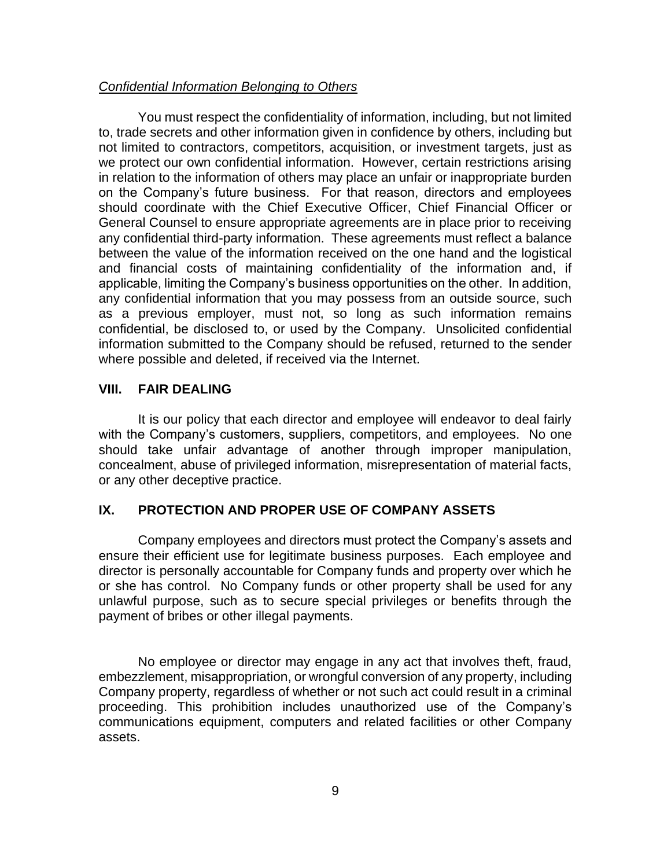### *Confidential Information Belonging to Others*

You must respect the confidentiality of information, including, but not limited to, trade secrets and other information given in confidence by others, including but not limited to contractors, competitors, acquisition, or investment targets, just as we protect our own confidential information. However, certain restrictions arising in relation to the information of others may place an unfair or inappropriate burden on the Company's future business. For that reason, directors and employees should coordinate with the Chief Executive Officer, Chief Financial Officer or General Counsel to ensure appropriate agreements are in place prior to receiving any confidential third-party information. These agreements must reflect a balance between the value of the information received on the one hand and the logistical and financial costs of maintaining confidentiality of the information and, if applicable, limiting the Company's business opportunities on the other. In addition, any confidential information that you may possess from an outside source, such as a previous employer, must not, so long as such information remains confidential, be disclosed to, or used by the Company. Unsolicited confidential information submitted to the Company should be refused, returned to the sender where possible and deleted, if received via the Internet.

### **VIII. FAIR DEALING**

It is our policy that each director and employee will endeavor to deal fairly with the Company's customers, suppliers, competitors, and employees. No one should take unfair advantage of another through improper manipulation, concealment, abuse of privileged information, misrepresentation of material facts, or any other deceptive practice.

### **IX. PROTECTION AND PROPER USE OF COMPANY ASSETS**

Company employees and directors must protect the Company's assets and ensure their efficient use for legitimate business purposes. Each employee and director is personally accountable for Company funds and property over which he or she has control. No Company funds or other property shall be used for any unlawful purpose, such as to secure special privileges or benefits through the payment of bribes or other illegal payments.

No employee or director may engage in any act that involves theft, fraud, embezzlement, misappropriation, or wrongful conversion of any property, including Company property, regardless of whether or not such act could result in a criminal proceeding. This prohibition includes unauthorized use of the Company's communications equipment, computers and related facilities or other Company assets.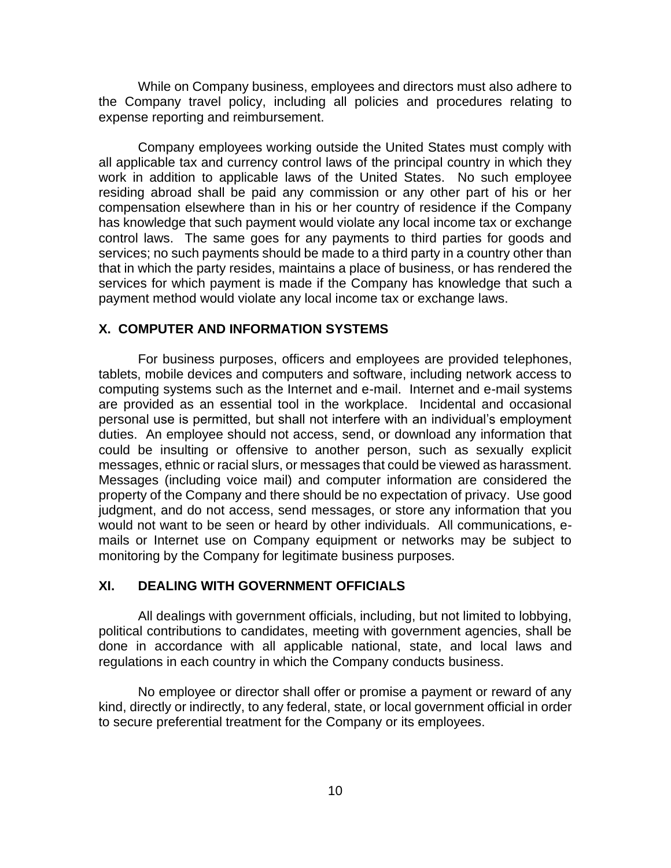While on Company business, employees and directors must also adhere to the Company travel policy, including all policies and procedures relating to expense reporting and reimbursement.

Company employees working outside the United States must comply with all applicable tax and currency control laws of the principal country in which they work in addition to applicable laws of the United States. No such employee residing abroad shall be paid any commission or any other part of his or her compensation elsewhere than in his or her country of residence if the Company has knowledge that such payment would violate any local income tax or exchange control laws. The same goes for any payments to third parties for goods and services; no such payments should be made to a third party in a country other than that in which the party resides, maintains a place of business, or has rendered the services for which payment is made if the Company has knowledge that such a payment method would violate any local income tax or exchange laws.

#### **X. COMPUTER AND INFORMATION SYSTEMS**

For business purposes, officers and employees are provided telephones, tablets, mobile devices and computers and software, including network access to computing systems such as the Internet and e-mail. Internet and e-mail systems are provided as an essential tool in the workplace. Incidental and occasional personal use is permitted, but shall not interfere with an individual's employment duties. An employee should not access, send, or download any information that could be insulting or offensive to another person, such as sexually explicit messages, ethnic or racial slurs, or messages that could be viewed as harassment. Messages (including voice mail) and computer information are considered the property of the Company and there should be no expectation of privacy. Use good judgment, and do not access, send messages, or store any information that you would not want to be seen or heard by other individuals. All communications, emails or Internet use on Company equipment or networks may be subject to monitoring by the Company for legitimate business purposes.

### **XI. DEALING WITH GOVERNMENT OFFICIALS**

All dealings with government officials, including, but not limited to lobbying, political contributions to candidates, meeting with government agencies, shall be done in accordance with all applicable national, state, and local laws and regulations in each country in which the Company conducts business.

No employee or director shall offer or promise a payment or reward of any kind, directly or indirectly, to any federal, state, or local government official in order to secure preferential treatment for the Company or its employees.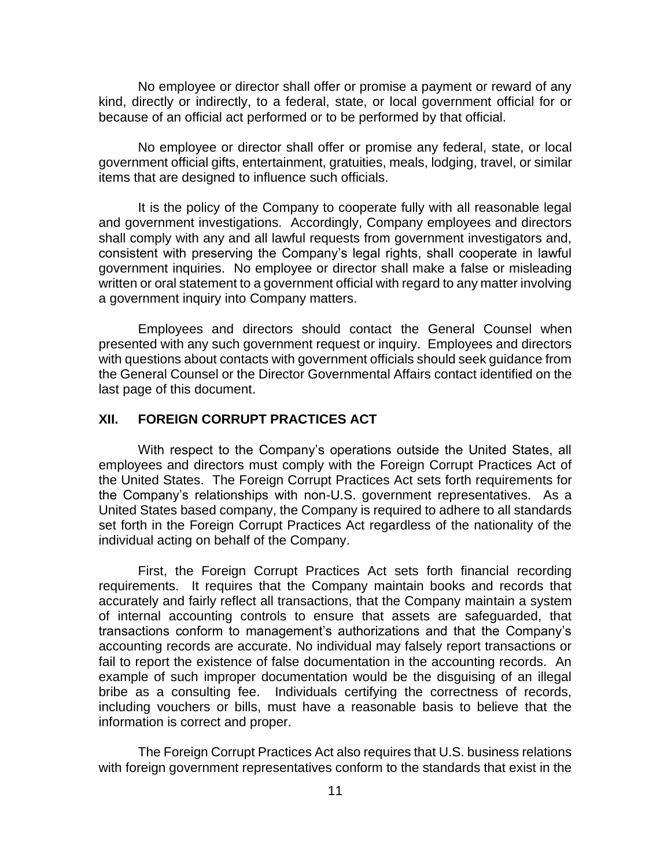No employee or director shall offer or promise a payment or reward of any kind, directly or indirectly, to a federal, state, or local government official for or because of an official act performed or to be performed by that official.

No employee or director shall offer or promise any federal, state, or local government official gifts, entertainment, gratuities, meals, lodging, travel, or similar items that are designed to influence such officials.

It is the policy of the Company to cooperate fully with all reasonable legal and government investigations. Accordingly, Company employees and directors shall comply with any and all lawful requests from government investigators and, consistent with preserving the Company's legal rights, shall cooperate in lawful government inquiries. No employee or director shall make a false or misleading written or oral statement to a government official with regard to any matter involving a government inquiry into Company matters.

Employees and directors should contact the General Counsel when presented with any such government request or inquiry. Employees and directors with questions about contacts with government officials should seek guidance from the General Counsel or the Director Governmental Affairs contact identified on the last page of this document.

### **XII. FOREIGN CORRUPT PRACTICES ACT**

With respect to the Company's operations outside the United States, all employees and directors must comply with the Foreign Corrupt Practices Act of the United States. The Foreign Corrupt Practices Act sets forth requirements for the Company's relationships with non-U.S. government representatives. As a United States based company, the Company is required to adhere to all standards set forth in the Foreign Corrupt Practices Act regardless of the nationality of the individual acting on behalf of the Company.

First, the Foreign Corrupt Practices Act sets forth financial recording requirements. It requires that the Company maintain books and records that accurately and fairly reflect all transactions, that the Company maintain a system of internal accounting controls to ensure that assets are safeguarded, that transactions conform to management's authorizations and that the Company's accounting records are accurate. No individual may falsely report transactions or fail to report the existence of false documentation in the accounting records. An example of such improper documentation would be the disguising of an illegal bribe as a consulting fee. Individuals certifying the correctness of records, including vouchers or bills, must have a reasonable basis to believe that the information is correct and proper.

The Foreign Corrupt Practices Act also requires that U.S. business relations with foreign government representatives conform to the standards that exist in the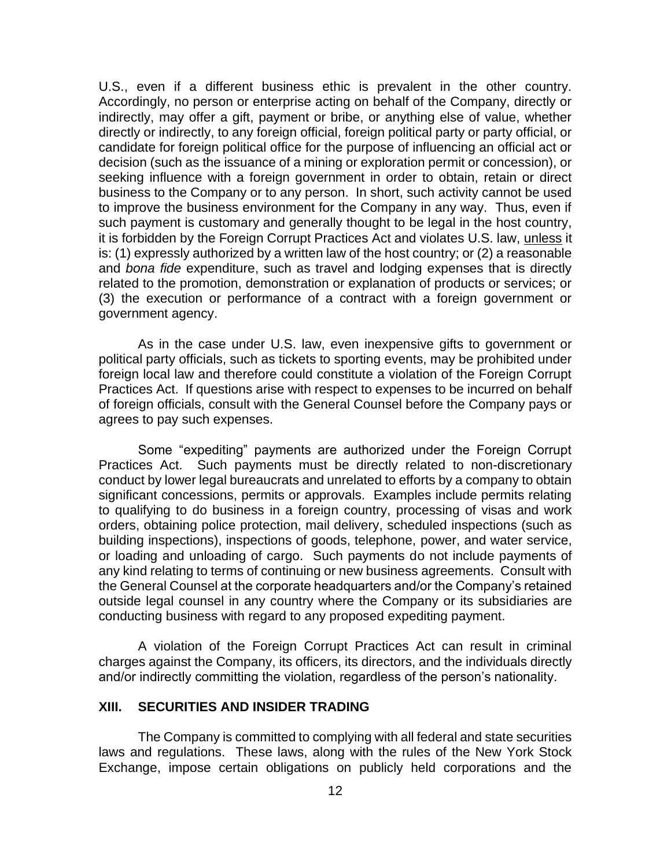U.S., even if a different business ethic is prevalent in the other country. Accordingly, no person or enterprise acting on behalf of the Company, directly or indirectly, may offer a gift, payment or bribe, or anything else of value, whether directly or indirectly, to any foreign official, foreign political party or party official, or candidate for foreign political office for the purpose of influencing an official act or decision (such as the issuance of a mining or exploration permit or concession), or seeking influence with a foreign government in order to obtain, retain or direct business to the Company or to any person. In short, such activity cannot be used to improve the business environment for the Company in any way. Thus, even if such payment is customary and generally thought to be legal in the host country, it is forbidden by the Foreign Corrupt Practices Act and violates U.S. law, unless it is: (1) expressly authorized by a written law of the host country; or (2) a reasonable and *bona fide* expenditure, such as travel and lodging expenses that is directly related to the promotion, demonstration or explanation of products or services; or (3) the execution or performance of a contract with a foreign government or government agency.

As in the case under U.S. law, even inexpensive gifts to government or political party officials, such as tickets to sporting events, may be prohibited under foreign local law and therefore could constitute a violation of the Foreign Corrupt Practices Act. If questions arise with respect to expenses to be incurred on behalf of foreign officials, consult with the General Counsel before the Company pays or agrees to pay such expenses.

Some "expediting" payments are authorized under the Foreign Corrupt Practices Act. Such payments must be directly related to non-discretionary conduct by lower legal bureaucrats and unrelated to efforts by a company to obtain significant concessions, permits or approvals. Examples include permits relating to qualifying to do business in a foreign country, processing of visas and work orders, obtaining police protection, mail delivery, scheduled inspections (such as building inspections), inspections of goods, telephone, power, and water service, or loading and unloading of cargo. Such payments do not include payments of any kind relating to terms of continuing or new business agreements. Consult with the General Counsel at the corporate headquarters and/or the Company's retained outside legal counsel in any country where the Company or its subsidiaries are conducting business with regard to any proposed expediting payment.

A violation of the Foreign Corrupt Practices Act can result in criminal charges against the Company, its officers, its directors, and the individuals directly and/or indirectly committing the violation, regardless of the person's nationality.

#### **XIII. SECURITIES AND INSIDER TRADING**

The Company is committed to complying with all federal and state securities laws and regulations. These laws, along with the rules of the New York Stock Exchange, impose certain obligations on publicly held corporations and the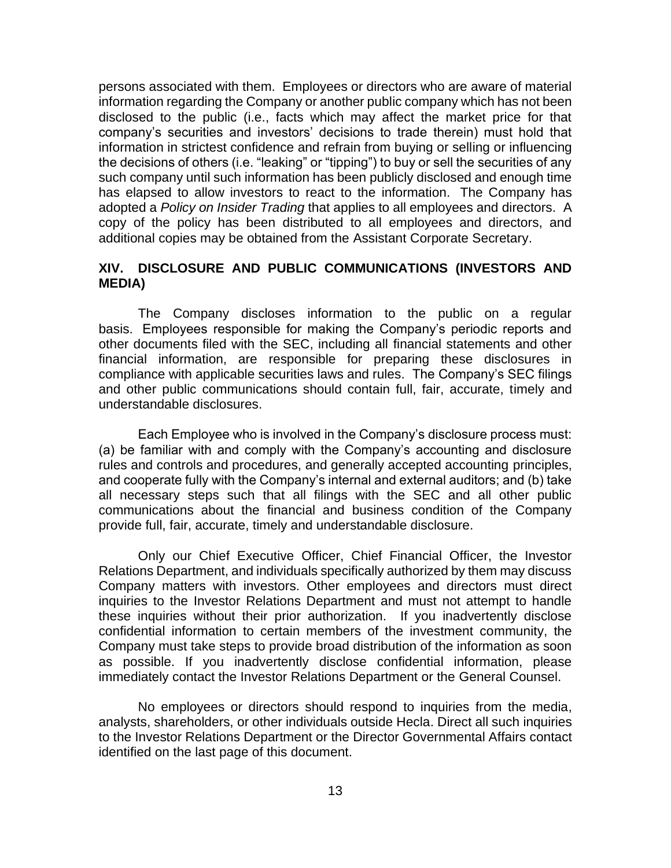persons associated with them. Employees or directors who are aware of material information regarding the Company or another public company which has not been disclosed to the public (i.e., facts which may affect the market price for that company's securities and investors' decisions to trade therein) must hold that information in strictest confidence and refrain from buying or selling or influencing the decisions of others (i.e. "leaking" or "tipping") to buy or sell the securities of any such company until such information has been publicly disclosed and enough time has elapsed to allow investors to react to the information. The Company has adopted a *Policy on Insider Trading* that applies to all employees and directors. A copy of the policy has been distributed to all employees and directors, and additional copies may be obtained from the Assistant Corporate Secretary.

### **XIV. DISCLOSURE AND PUBLIC COMMUNICATIONS (INVESTORS AND MEDIA)**

The Company discloses information to the public on a regular basis. Employees responsible for making the Company's periodic reports and other documents filed with the SEC, including all financial statements and other financial information, are responsible for preparing these disclosures in compliance with applicable securities laws and rules. The Company's SEC filings and other public communications should contain full, fair, accurate, timely and understandable disclosures.

Each Employee who is involved in the Company's disclosure process must: (a) be familiar with and comply with the Company's accounting and disclosure rules and controls and procedures, and generally accepted accounting principles, and cooperate fully with the Company's internal and external auditors; and (b) take all necessary steps such that all filings with the SEC and all other public communications about the financial and business condition of the Company provide full, fair, accurate, timely and understandable disclosure.

Only our Chief Executive Officer, Chief Financial Officer, the Investor Relations Department, and individuals specifically authorized by them may discuss Company matters with investors. Other employees and directors must direct inquiries to the Investor Relations Department and must not attempt to handle these inquiries without their prior authorization. If you inadvertently disclose confidential information to certain members of the investment community, the Company must take steps to provide broad distribution of the information as soon as possible. If you inadvertently disclose confidential information, please immediately contact the Investor Relations Department or the General Counsel.

No employees or directors should respond to inquiries from the media, analysts, shareholders, or other individuals outside Hecla. Direct all such inquiries to the Investor Relations Department or the Director Governmental Affairs contact identified on the last page of this document.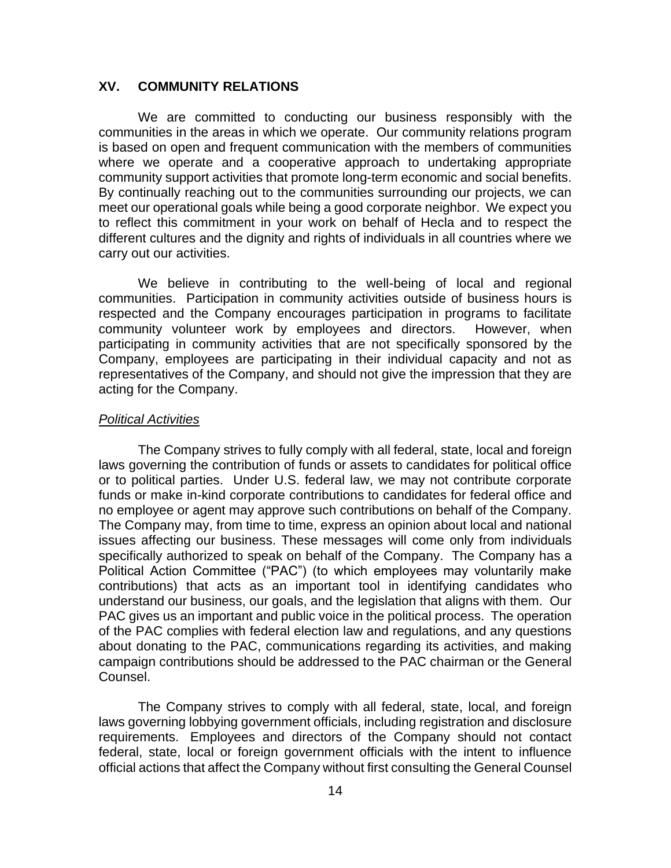### **XV. COMMUNITY RELATIONS**

We are committed to conducting our business responsibly with the communities in the areas in which we operate. Our community relations program is based on open and frequent communication with the members of communities where we operate and a cooperative approach to undertaking appropriate community support activities that promote long-term economic and social benefits. By continually reaching out to the communities surrounding our projects, we can meet our operational goals while being a good corporate neighbor. We expect you to reflect this commitment in your work on behalf of Hecla and to respect the different cultures and the dignity and rights of individuals in all countries where we carry out our activities.

We believe in contributing to the well-being of local and regional communities. Participation in community activities outside of business hours is respected and the Company encourages participation in programs to facilitate community volunteer work by employees and directors. However, when participating in community activities that are not specifically sponsored by the Company, employees are participating in their individual capacity and not as representatives of the Company, and should not give the impression that they are acting for the Company.

#### *Political Activities*

The Company strives to fully comply with all federal, state, local and foreign laws governing the contribution of funds or assets to candidates for political office or to political parties. Under U.S. federal law, we may not contribute corporate funds or make in-kind corporate contributions to candidates for federal office and no employee or agent may approve such contributions on behalf of the Company. The Company may, from time to time, express an opinion about local and national issues affecting our business. These messages will come only from individuals specifically authorized to speak on behalf of the Company. The Company has a Political Action Committee ("PAC") (to which employees may voluntarily make contributions) that acts as an important tool in identifying candidates who understand our business, our goals, and the legislation that aligns with them. Our PAC gives us an important and public voice in the political process. The operation of the PAC complies with federal election law and regulations, and any questions about donating to the PAC, communications regarding its activities, and making campaign contributions should be addressed to the PAC chairman or the General Counsel.

The Company strives to comply with all federal, state, local, and foreign laws governing lobbying government officials, including registration and disclosure requirements. Employees and directors of the Company should not contact federal, state, local or foreign government officials with the intent to influence official actions that affect the Company without first consulting the General Counsel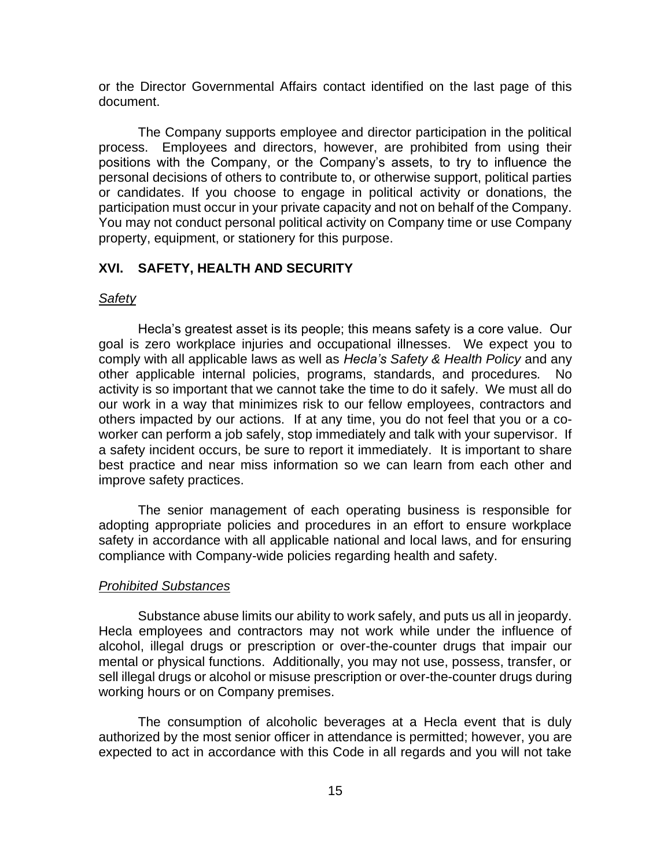or the Director Governmental Affairs contact identified on the last page of this document.

The Company supports employee and director participation in the political process. Employees and directors, however, are prohibited from using their positions with the Company, or the Company's assets, to try to influence the personal decisions of others to contribute to, or otherwise support, political parties or candidates. If you choose to engage in political activity or donations, the participation must occur in your private capacity and not on behalf of the Company. You may not conduct personal political activity on Company time or use Company property, equipment, or stationery for this purpose.

#### **XVI. SAFETY, HEALTH AND SECURITY**

#### *Safety*

Hecla's greatest asset is its people; this means safety is a core value. Our goal is zero workplace injuries and occupational illnesses. We expect you to comply with all applicable laws as well as *Hecla's Safety & Health Policy* and any other applicable internal policies, programs, standards, and procedures*.* No activity is so important that we cannot take the time to do it safely. We must all do our work in a way that minimizes risk to our fellow employees, contractors and others impacted by our actions. If at any time, you do not feel that you or a coworker can perform a job safely, stop immediately and talk with your supervisor. If a safety incident occurs, be sure to report it immediately. It is important to share best practice and near miss information so we can learn from each other and improve safety practices.

The senior management of each operating business is responsible for adopting appropriate policies and procedures in an effort to ensure workplace safety in accordance with all applicable national and local laws, and for ensuring compliance with Company-wide policies regarding health and safety.

#### *Prohibited Substances*

Substance abuse limits our ability to work safely, and puts us all in jeopardy. Hecla employees and contractors may not work while under the influence of alcohol, illegal drugs or prescription or over-the-counter drugs that impair our mental or physical functions. Additionally, you may not use, possess, transfer, or sell illegal drugs or alcohol or misuse prescription or over-the-counter drugs during working hours or on Company premises.

The consumption of alcoholic beverages at a Hecla event that is duly authorized by the most senior officer in attendance is permitted; however, you are expected to act in accordance with this Code in all regards and you will not take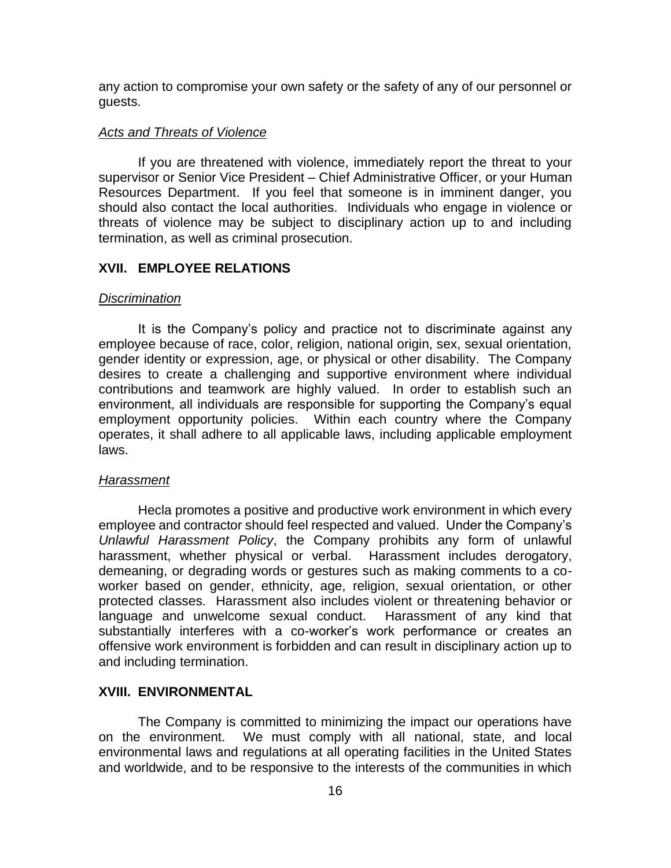any action to compromise your own safety or the safety of any of our personnel or guests.

#### *Acts and Threats of Violence*

If you are threatened with violence, immediately report the threat to your supervisor or Senior Vice President – Chief Administrative Officer, or your Human Resources Department. If you feel that someone is in imminent danger, you should also contact the local authorities. Individuals who engage in violence or threats of violence may be subject to disciplinary action up to and including termination, as well as criminal prosecution.

### **XVII. EMPLOYEE RELATIONS**

#### *Discrimination*

It is the Company's policy and practice not to discriminate against any employee because of race, color, religion, national origin, sex, sexual orientation, gender identity or expression, age, or physical or other disability. The Company desires to create a challenging and supportive environment where individual contributions and teamwork are highly valued. In order to establish such an environment, all individuals are responsible for supporting the Company's equal employment opportunity policies. Within each country where the Company operates, it shall adhere to all applicable laws, including applicable employment laws.

#### *Harassment*

Hecla promotes a positive and productive work environment in which every employee and contractor should feel respected and valued. Under the Company's *Unlawful Harassment Policy*, the Company prohibits any form of unlawful harassment, whether physical or verbal. Harassment includes derogatory, demeaning, or degrading words or gestures such as making comments to a coworker based on gender, ethnicity, age, religion, sexual orientation, or other protected classes. Harassment also includes violent or threatening behavior or language and unwelcome sexual conduct. Harassment of any kind that substantially interferes with a co-worker's work performance or creates an offensive work environment is forbidden and can result in disciplinary action up to and including termination.

#### **XVIII. ENVIRONMENTAL**

The Company is committed to minimizing the impact our operations have on the environment. We must comply with all national, state, and local environmental laws and regulations at all operating facilities in the United States and worldwide, and to be responsive to the interests of the communities in which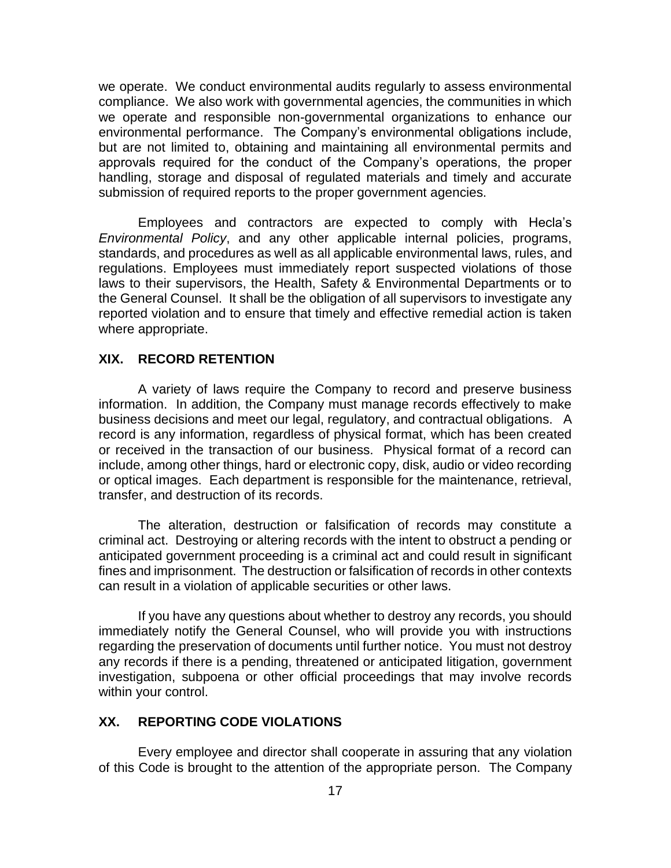we operate. We conduct environmental audits regularly to assess environmental compliance. We also work with governmental agencies, the communities in which we operate and responsible non-governmental organizations to enhance our environmental performance. The Company's environmental obligations include, but are not limited to, obtaining and maintaining all environmental permits and approvals required for the conduct of the Company's operations, the proper handling, storage and disposal of regulated materials and timely and accurate submission of required reports to the proper government agencies.

Employees and contractors are expected to comply with Hecla's *Environmental Policy*, and any other applicable internal policies, programs, standards, and procedures as well as all applicable environmental laws, rules, and regulations. Employees must immediately report suspected violations of those laws to their supervisors, the Health, Safety & Environmental Departments or to the General Counsel. It shall be the obligation of all supervisors to investigate any reported violation and to ensure that timely and effective remedial action is taken where appropriate.

#### **XIX. RECORD RETENTION**

A variety of laws require the Company to record and preserve business information. In addition, the Company must manage records effectively to make business decisions and meet our legal, regulatory, and contractual obligations. A record is any information, regardless of physical format, which has been created or received in the transaction of our business. Physical format of a record can include, among other things, hard or electronic copy, disk, audio or video recording or optical images. Each department is responsible for the maintenance, retrieval, transfer, and destruction of its records.

The alteration, destruction or falsification of records may constitute a criminal act. Destroying or altering records with the intent to obstruct a pending or anticipated government proceeding is a criminal act and could result in significant fines and imprisonment. The destruction or falsification of records in other contexts can result in a violation of applicable securities or other laws.

If you have any questions about whether to destroy any records, you should immediately notify the General Counsel, who will provide you with instructions regarding the preservation of documents until further notice. You must not destroy any records if there is a pending, threatened or anticipated litigation, government investigation, subpoena or other official proceedings that may involve records within your control.

### **XX. REPORTING CODE VIOLATIONS**

Every employee and director shall cooperate in assuring that any violation of this Code is brought to the attention of the appropriate person. The Company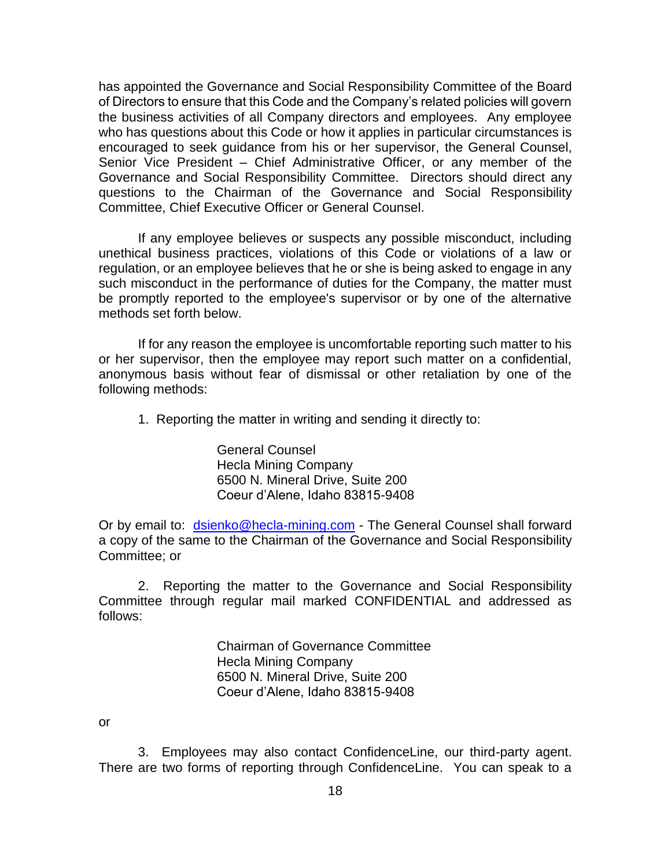has appointed the Governance and Social Responsibility Committee of the Board of Directors to ensure that this Code and the Company's related policies will govern the business activities of all Company directors and employees. Any employee who has questions about this Code or how it applies in particular circumstances is encouraged to seek guidance from his or her supervisor, the General Counsel, Senior Vice President – Chief Administrative Officer, or any member of the Governance and Social Responsibility Committee. Directors should direct any questions to the Chairman of the Governance and Social Responsibility Committee, Chief Executive Officer or General Counsel.

If any employee believes or suspects any possible misconduct, including unethical business practices, violations of this Code or violations of a law or regulation, or an employee believes that he or she is being asked to engage in any such misconduct in the performance of duties for the Company, the matter must be promptly reported to the employee's supervisor or by one of the alternative methods set forth below.

If for any reason the employee is uncomfortable reporting such matter to his or her supervisor, then the employee may report such matter on a confidential, anonymous basis without fear of dismissal or other retaliation by one of the following methods:

1. Reporting the matter in writing and sending it directly to:

General Counsel Hecla Mining Company 6500 N. Mineral Drive, Suite 200 Coeur d'Alene, Idaho 83815-9408

Or by email to: [dsienko@hecla-mining.com](mailto:dsienko@hecla-mining.com) - The General Counsel shall forward a copy of the same to the Chairman of the Governance and Social Responsibility Committee; or

2. Reporting the matter to the Governance and Social Responsibility Committee through regular mail marked CONFIDENTIAL and addressed as follows:

> Chairman of Governance Committee Hecla Mining Company 6500 N. Mineral Drive, Suite 200 Coeur d'Alene, Idaho 83815-9408

or

3. Employees may also contact ConfidenceLine, our third-party agent. There are two forms of reporting through ConfidenceLine. You can speak to a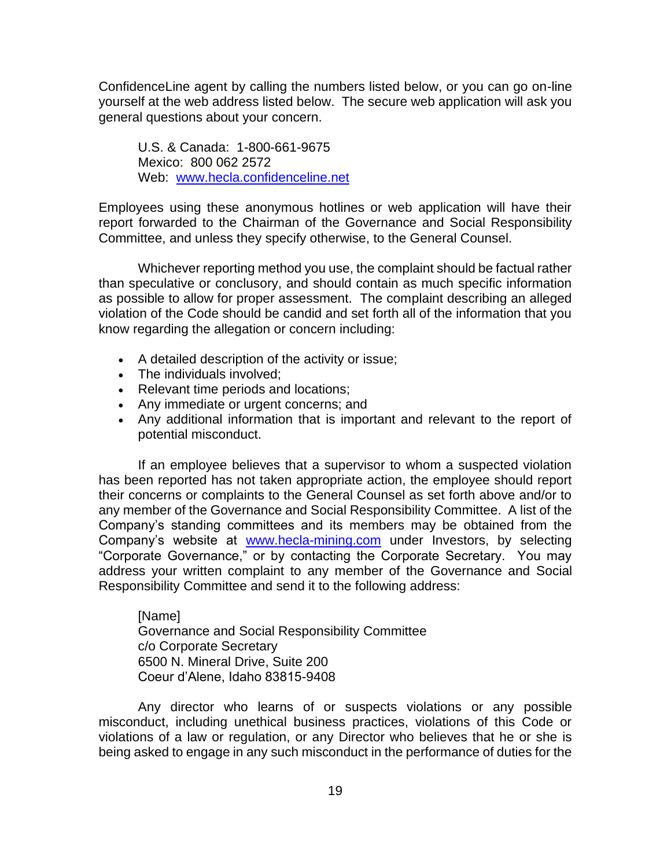ConfidenceLine agent by calling the numbers listed below, or you can go on-line yourself at the web address listed below. The secure web application will ask you general questions about your concern.

U.S. & Canada: 1-800-661-9675 Mexico: 800 062 2572 Web: [www.hecla.confidenceline.net](http://www.hecla.confidenceline.net/)

Employees using these anonymous hotlines or web application will have their report forwarded to the Chairman of the Governance and Social Responsibility Committee, and unless they specify otherwise, to the General Counsel.

Whichever reporting method you use, the complaint should be factual rather than speculative or conclusory, and should contain as much specific information as possible to allow for proper assessment. The complaint describing an alleged violation of the Code should be candid and set forth all of the information that you know regarding the allegation or concern including:

- A detailed description of the activity or issue;
- The individuals involved;
- Relevant time periods and locations;
- Any immediate or urgent concerns; and
- Any additional information that is important and relevant to the report of potential misconduct.

If an employee believes that a supervisor to whom a suspected violation has been reported has not taken appropriate action, the employee should report their concerns or complaints to the General Counsel as set forth above and/or to any member of the Governance and Social Responsibility Committee. A list of the Company's standing committees and its members may be obtained from the Company's website at [www.hecla-mining.com](http://www.hecla-mining.com/) under Investors, by selecting "Corporate Governance," or by contacting the Corporate Secretary. You may address your written complaint to any member of the Governance and Social Responsibility Committee and send it to the following address:

[Name] Governance and Social Responsibility Committee c/o Corporate Secretary 6500 N. Mineral Drive, Suite 200 Coeur d'Alene, Idaho 83815-9408

Any director who learns of or suspects violations or any possible misconduct, including unethical business practices, violations of this Code or violations of a law or regulation, or any Director who believes that he or she is being asked to engage in any such misconduct in the performance of duties for the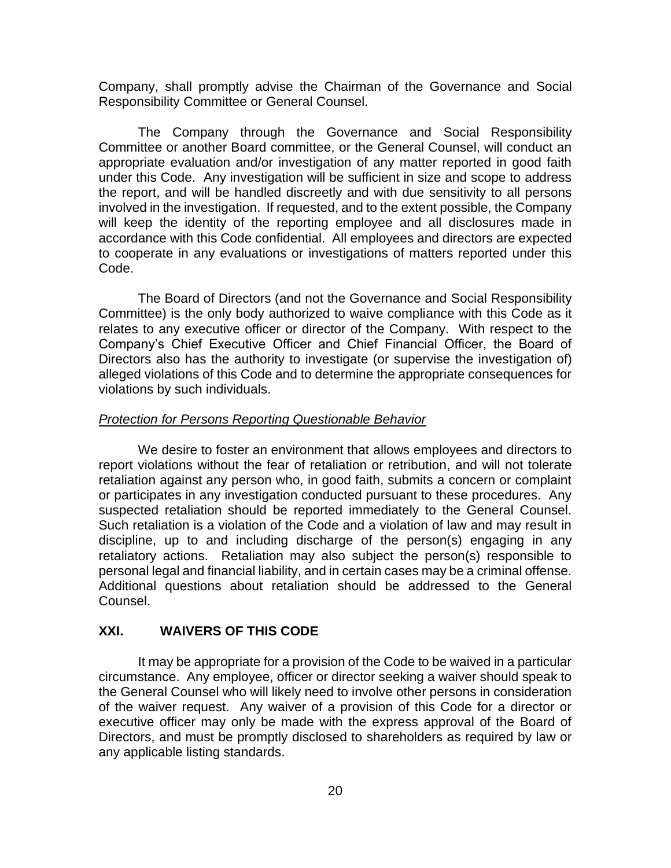Company, shall promptly advise the Chairman of the Governance and Social Responsibility Committee or General Counsel.

The Company through the Governance and Social Responsibility Committee or another Board committee, or the General Counsel, will conduct an appropriate evaluation and/or investigation of any matter reported in good faith under this Code. Any investigation will be sufficient in size and scope to address the report, and will be handled discreetly and with due sensitivity to all persons involved in the investigation. If requested, and to the extent possible, the Company will keep the identity of the reporting employee and all disclosures made in accordance with this Code confidential. All employees and directors are expected to cooperate in any evaluations or investigations of matters reported under this Code.

The Board of Directors (and not the Governance and Social Responsibility Committee) is the only body authorized to waive compliance with this Code as it relates to any executive officer or director of the Company. With respect to the Company's Chief Executive Officer and Chief Financial Officer, the Board of Directors also has the authority to investigate (or supervise the investigation of) alleged violations of this Code and to determine the appropriate consequences for violations by such individuals.

#### *Protection for Persons Reporting Questionable Behavior*

We desire to foster an environment that allows employees and directors to report violations without the fear of retaliation or retribution, and will not tolerate retaliation against any person who, in good faith, submits a concern or complaint or participates in any investigation conducted pursuant to these procedures. Any suspected retaliation should be reported immediately to the General Counsel. Such retaliation is a violation of the Code and a violation of law and may result in discipline, up to and including discharge of the person(s) engaging in any retaliatory actions. Retaliation may also subject the person(s) responsible to personal legal and financial liability, and in certain cases may be a criminal offense. Additional questions about retaliation should be addressed to the General Counsel.

### **XXI. WAIVERS OF THIS CODE**

It may be appropriate for a provision of the Code to be waived in a particular circumstance. Any employee, officer or director seeking a waiver should speak to the General Counsel who will likely need to involve other persons in consideration of the waiver request. Any waiver of a provision of this Code for a director or executive officer may only be made with the express approval of the Board of Directors, and must be promptly disclosed to shareholders as required by law or any applicable listing standards.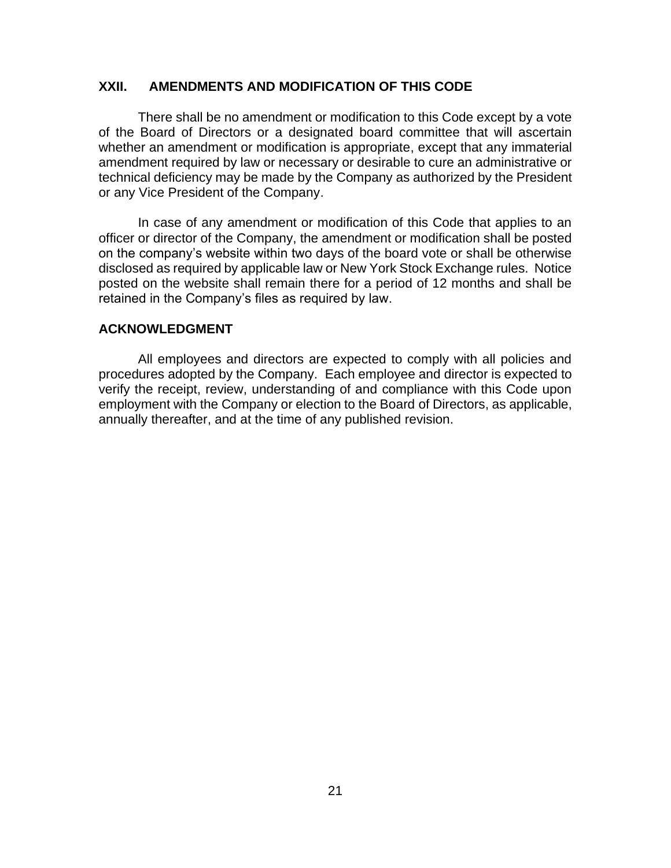### **XXII. AMENDMENTS AND MODIFICATION OF THIS CODE**

There shall be no amendment or modification to this Code except by a vote of the Board of Directors or a designated board committee that will ascertain whether an amendment or modification is appropriate, except that any immaterial amendment required by law or necessary or desirable to cure an administrative or technical deficiency may be made by the Company as authorized by the President or any Vice President of the Company.

In case of any amendment or modification of this Code that applies to an officer or director of the Company, the amendment or modification shall be posted on the company's website within two days of the board vote or shall be otherwise disclosed as required by applicable law or New York Stock Exchange rules. Notice posted on the website shall remain there for a period of 12 months and shall be retained in the Company's files as required by law.

#### **ACKNOWLEDGMENT**

All employees and directors are expected to comply with all policies and procedures adopted by the Company. Each employee and director is expected to verify the receipt, review, understanding of and compliance with this Code upon employment with the Company or election to the Board of Directors, as applicable, annually thereafter, and at the time of any published revision.